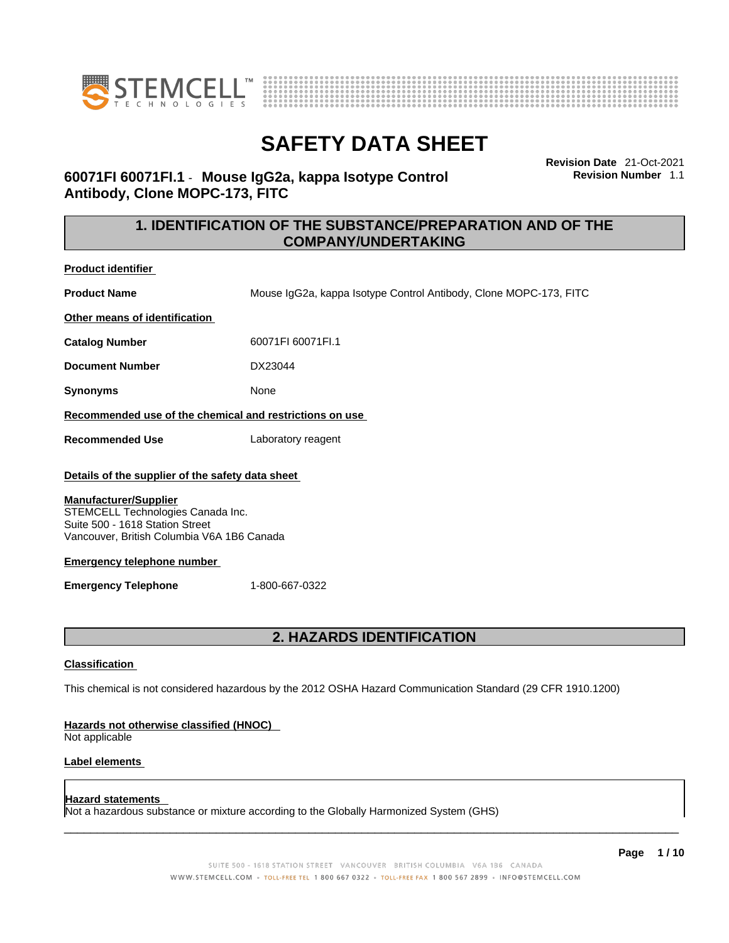



**Revision Date** 21-Oct-2021 **Revision Number** 1.1

## **60071FI 60071FI.1** - **Mouse IgG2a, kappa Isotype Control Antibody, Clone MOPC-173, FITC**

## **1. IDENTIFICATION OF THE SUBSTANCE/PREPARATION AND OF THE COMPANY/UNDERTAKING**

**Product identifier**

**Product Name** Mouse IgG2a, kappa Isotype Control Antibody, Clone MOPC-173, FITC

**Other means of identification**

**Catalog Number** 60071FI 60071FI.1

**Document Number** DX23044

**Synonyms** None

**Recommended use of the chemical and restrictions on use**

**Recommended Use** Laboratory reagent

#### **Details of the supplier of the safety data sheet**

#### **Manufacturer/Supplier**

STEMCELL Technologies Canada Inc. Suite 500 - 1618 Station Street Vancouver, British Columbia V6A 1B6 Canada

#### **Emergency telephone number**

**Emergency Telephone** 1-800-667-0322

## **2. HAZARDS IDENTIFICATION**

#### **Classification**

This chemical is not considered hazardous by the 2012 OSHA Hazard Communication Standard (29 CFR 1910.1200)

#### **Hazards not otherwise classified (HNOC)**

Not applicable

#### **Label elements**

#### **Hazard statements**

Not a hazardous substance or mixture according to the Globally Harmonized System (GHS)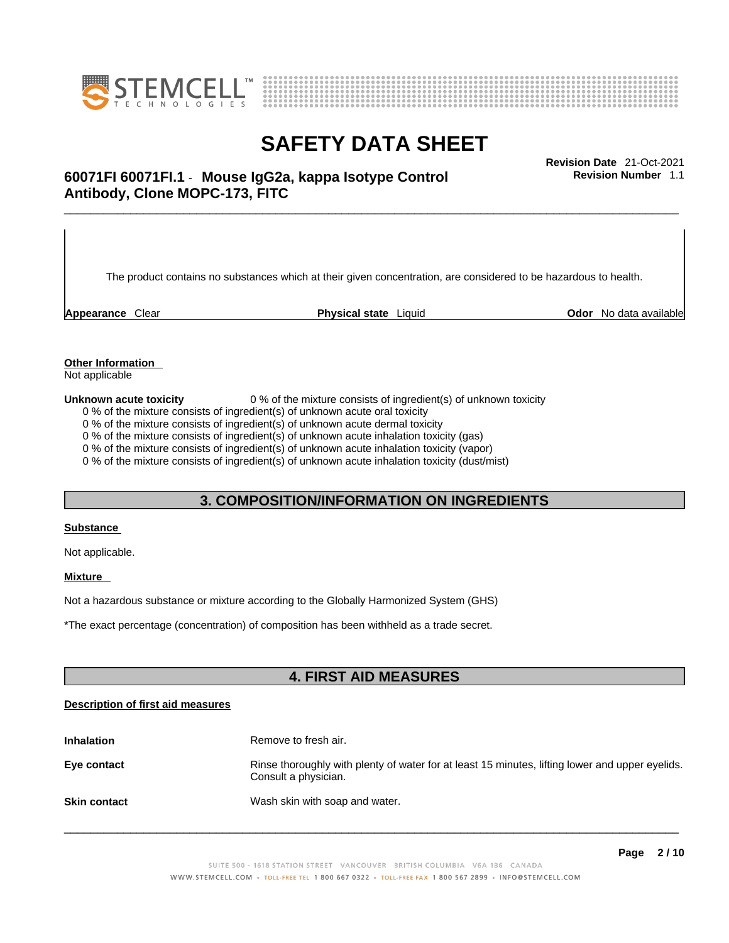



# \_\_\_\_\_\_\_\_\_\_\_\_\_\_\_\_\_\_\_\_\_\_\_\_\_\_\_\_\_\_\_\_\_\_\_\_\_\_\_\_\_\_\_\_\_\_\_\_\_\_\_\_\_\_\_\_\_\_\_\_\_\_\_\_\_\_\_\_\_\_\_\_\_\_\_\_\_\_\_\_\_\_\_\_\_\_\_\_\_\_\_\_\_ **Revision Date** 21-Oct-2021 **60071FI 60071FI.1** - **Mouse IgG2a, kappa Isotype Control Antibody, Clone MOPC-173, FITC**

The product contains no substances which at their given concentration, are considered to be hazardous to health.

**Appearance** Clear **Physical state** Liquid **Odor** No data available

**Revision Number** 1.1

**Other Information** 

Not applicable

**Unknown acute toxicity** 0 % of the mixture consists of ingredient(s) of unknown toxicity

0 % of the mixture consists of ingredient(s) of unknown acute oral toxicity

0 % of the mixture consists of ingredient(s) of unknown acute dermal toxicity

0 % of the mixture consists of ingredient(s) of unknown acute inhalation toxicity (gas)

0 % of the mixture consists of ingredient(s) of unknown acute inhalation toxicity (vapor)

0 % of the mixture consists of ingredient(s) of unknown acute inhalation toxicity (dust/mist)

### **3. COMPOSITION/INFORMATION ON INGREDIENTS**

#### **Substance**

Not applicable.

#### **Mixture**

Not a hazardous substance or mixture according to the Globally Harmonized System (GHS)

\*The exact percentage (concentration) ofcomposition has been withheld as a trade secret.

### **4. FIRST AID MEASURES**

#### **Description of first aid measures**

| <b>Inhalation</b>   | Remove to fresh air.                                                                                                    |
|---------------------|-------------------------------------------------------------------------------------------------------------------------|
| Eye contact         | Rinse thoroughly with plenty of water for at least 15 minutes, lifting lower and upper eyelids.<br>Consult a physician. |
| <b>Skin contact</b> | Wash skin with soap and water.                                                                                          |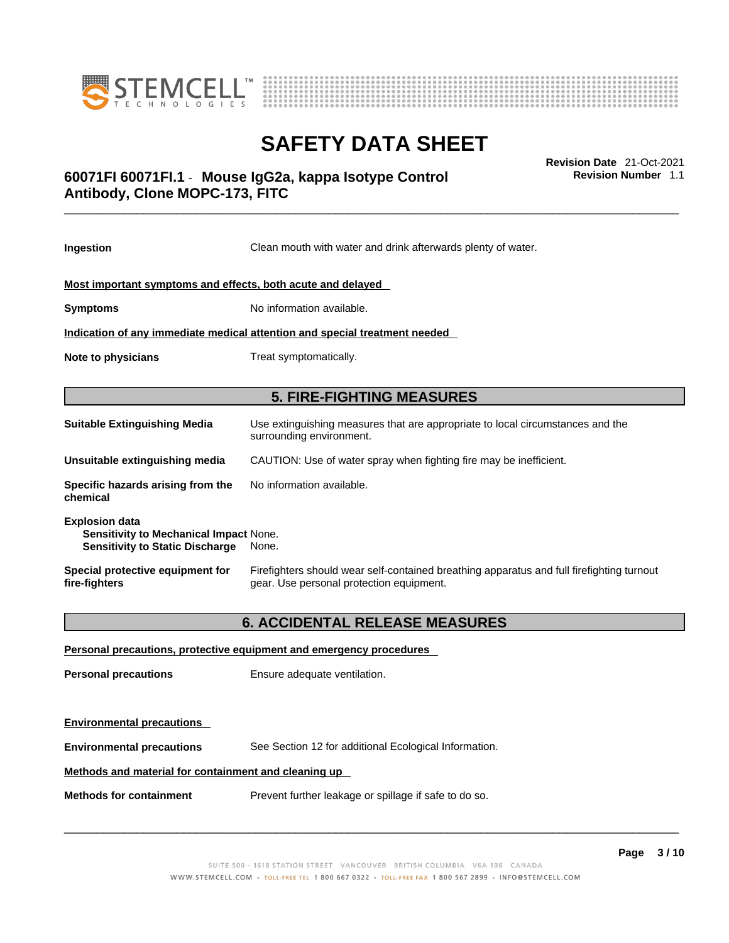



# \_\_\_\_\_\_\_\_\_\_\_\_\_\_\_\_\_\_\_\_\_\_\_\_\_\_\_\_\_\_\_\_\_\_\_\_\_\_\_\_\_\_\_\_\_\_\_\_\_\_\_\_\_\_\_\_\_\_\_\_\_\_\_\_\_\_\_\_\_\_\_\_\_\_\_\_\_\_\_\_\_\_\_\_\_\_\_\_\_\_\_\_\_ **Revision Date** 21-Oct-2021 **60071FI 60071FI.1** - **Mouse IgG2a, kappa Isotype Control Antibody, Clone MOPC-173, FITC**

**Ingestion** Clean mouth with water and drink afterwards plenty of water. **Most important symptoms and effects, both acute and delayed Symptoms** No information available. **Indication of any immediate medical attention and special treatment needed Note to physicians** Treat symptomatically. **5. FIRE-FIGHTING MEASURES Suitable Extinguishing Media** Use extinguishing measures that are appropriate to local circumstances and the surrounding environment. **Unsuitable extinguishing media** CAUTION: Use of water spray when fighting fire may be inefficient. **Specific hazards arising from the** No information available.

**Explosion data Sensitivity to Mechanical Impact** None. **Sensitivity to Static Discharge** None.

**chemical**

**Special protective equipment for fire-fighters** Firefighters should wear self-contained breathing apparatus and full firefighting turnout gear. Use personal protection equipment.

### **6. ACCIDENTAL RELEASE MEASURES**

**Personal precautions, protective equipment and emergency procedures Personal precautions** Ensure adequate ventilation. **Environmental precautions Environmental precautions** See Section 12 for additional Ecological Information. **Methods and material for containment and cleaning up Methods for containment** Prevent further leakage or spillage if safe to do so.

 $\_$  ,  $\_$  ,  $\_$  ,  $\_$  ,  $\_$  ,  $\_$  ,  $\_$  ,  $\_$  ,  $\_$  ,  $\_$  ,  $\_$  ,  $\_$  ,  $\_$  ,  $\_$  ,  $\_$  ,  $\_$  ,  $\_$  ,  $\_$  ,  $\_$  ,  $\_$  ,  $\_$  ,  $\_$  ,  $\_$  ,  $\_$  ,  $\_$  ,  $\_$  ,  $\_$  ,  $\_$  ,  $\_$  ,  $\_$  ,  $\_$  ,  $\_$  ,  $\_$  ,  $\_$  ,  $\_$  ,  $\_$  ,  $\_$  ,

**Revision Number** 1.1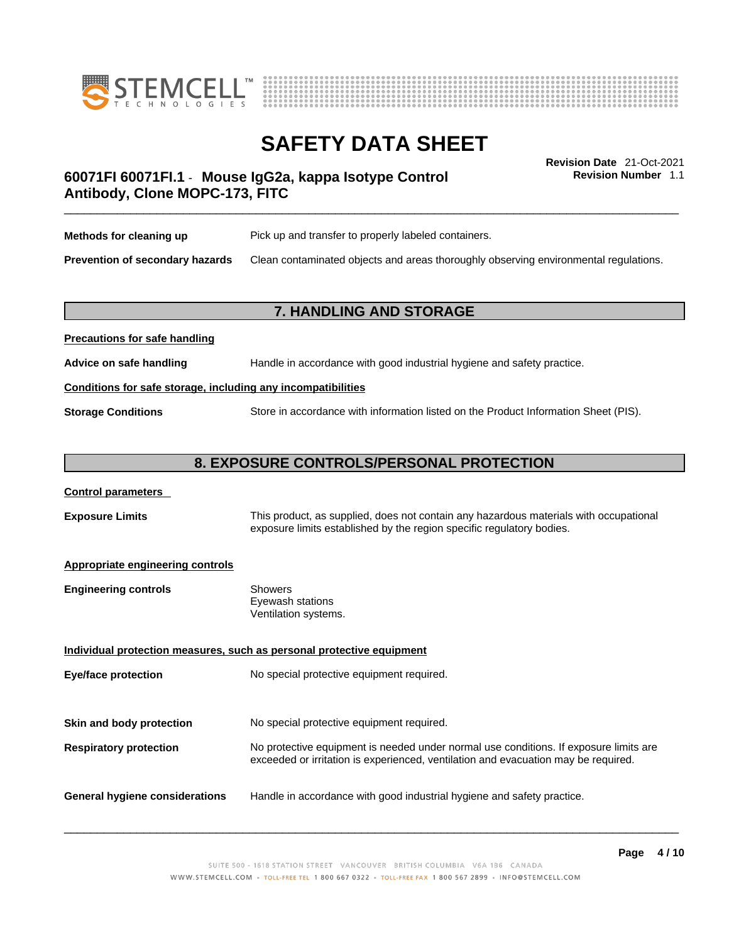



**Revision Number** 1.1

# \_\_\_\_\_\_\_\_\_\_\_\_\_\_\_\_\_\_\_\_\_\_\_\_\_\_\_\_\_\_\_\_\_\_\_\_\_\_\_\_\_\_\_\_\_\_\_\_\_\_\_\_\_\_\_\_\_\_\_\_\_\_\_\_\_\_\_\_\_\_\_\_\_\_\_\_\_\_\_\_\_\_\_\_\_\_\_\_\_\_\_\_\_ **Revision Date** 21-Oct-2021 **60071FI 60071FI.1** - **Mouse IgG2a, kappa Isotype Control Antibody, Clone MOPC-173, FITC**

| Methods for cleaning up                | Pick up and transfer to properly labeled containers.                                 |
|----------------------------------------|--------------------------------------------------------------------------------------|
| <b>Prevention of secondary hazards</b> | Clean contaminated objects and areas thoroughly observing environmental regulations. |

### **7. HANDLING AND STORAGE**

# **Precautions for safe handling Advice on safe handling** Handle in accordance with good industrial hygiene and safety practice. **Conditions for safe storage, including any incompatibilities Storage Conditions** Store in accordance with information listed on the Product Information Sheet (PIS).

### **8. EXPOSURE CONTROLS/PERSONAL PROTECTION**

#### **Control parameters**

**Exposure Limits** This product, as supplied, does not contain any hazardous materials with occupational exposure limits established by the region specific regulatory bodies.

#### **Appropriate engineering controls**

| Showers              |
|----------------------|
| Eyewash stations     |
| Ventilation systems. |
|                      |

**Individual protection measures, such as personal protective equipment Eye/face protection** No special protective equipment required. **Skin and body protection** No special protective equipment required. **Respiratory protection** No protective equipment is needed under normal use conditions. If exposure limits are exceeded or irritation is experienced, ventilation and evacuation may be required. **General hygiene considerations** Handle in accordance with good industrial hygiene and safety practice.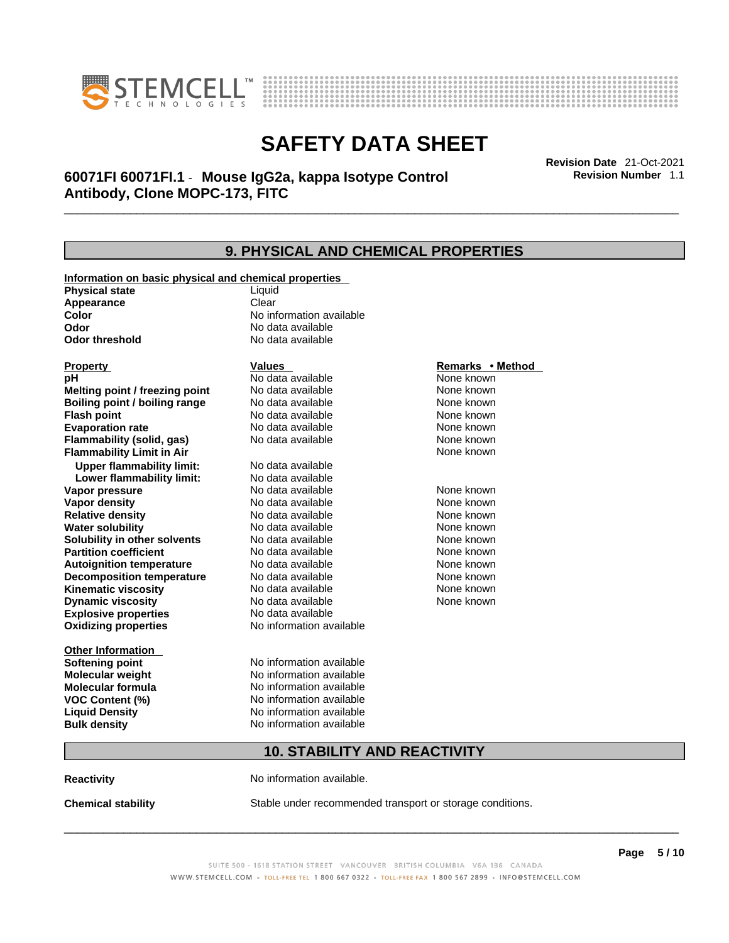



\_\_\_\_\_\_\_\_\_\_\_\_\_\_\_\_\_\_\_\_\_\_\_\_\_\_\_\_\_\_\_\_\_\_\_\_\_\_\_\_\_\_\_\_\_\_\_\_\_\_\_\_\_\_\_\_\_\_\_\_\_\_\_\_\_\_\_\_\_\_\_\_\_\_\_\_\_\_\_\_\_\_\_\_\_\_\_\_\_\_\_\_\_ **Revision Date** 21-Oct-2021 **60071FI 60071FI.1** - **Mouse IgG2a, kappa Isotype Control Antibody, Clone MOPC-173, FITC** 

**9. PHYSICAL AND CHEMICAL PROPERTIES Information on basic physical and chemical properties Physical state** Liquid **Appearance** Clear<br> **Color** No int **Color Color Color Color Color Color Color No** data available **Odor Odor Constanting Codor Constanting Codor Codor Codor Codor Codor Codor Codor Codor Codor Codor Codor Codor Codor Codor Codor Codor Codor Codor Codor Codor Codor Codor Codor No data available Explosive properties** No data available **Oxidizing properties** No information available **Other Information Softening point** No information available **Molecular weight** No information available **Molecular formula** No information available<br>**VOC Content (%)** No information available **VOC** Content (%) **Liquid Density** No information available **Bulk density No information available 10. STABILITY AND REACTIVITY Property CONSIDERENT VALUES PROPERTY Remarks •** Method **pH** No data available None known **Melting point / freezing point Boiling point / boiling range Modata available None known Flash point Communist Communist Communist Communist Communist Communist Communist Communist Communist Communist Communist Communist Communist Communist Communist Communist Communist Communist Communist Communist Communi Evaporation rate Configure 1 Accord None Configure 1 Accord None known**<br> **Elammability (solid. gas)** No data available **None known** None known **Flammability (solid, gas)** No data available None known **Flammability Limit in Air None known None known Upper flammability limit:** No data available **Lower flammability limit:** No data available **Vapor pressure No data available None known Vapor density Notata available None known Relative density No data available None known Water solubility No data available** Mome known<br> **Solubility in other solvents** No data available **None known**<br>
None known **Solubility in other solvents** No data available **None known**<br> **Partition coefficient** No data available None known **Partition coefficient**<br>**Autoignition temperature** No data available **Autoignition temperature** Mo data available Mone known<br> **Decomposition temperature** No data available None Known **Decomposition temperature** No data available None known<br> **Kinematic viscosity** No data available None known **Kinematic viscosity** No data available<br> **Dynamic viscosity** No data available **Dynamic viscosity** None known

**Reactivity No information available.** 

**Chemical stability** Stable under recommended transport or storage conditions.

 $\_$  ,  $\_$  ,  $\_$  ,  $\_$  ,  $\_$  ,  $\_$  ,  $\_$  ,  $\_$  ,  $\_$  ,  $\_$  ,  $\_$  ,  $\_$  ,  $\_$  ,  $\_$  ,  $\_$  ,  $\_$  ,  $\_$  ,  $\_$  ,  $\_$  ,  $\_$  ,  $\_$  ,  $\_$  ,  $\_$  ,  $\_$  ,  $\_$  ,  $\_$  ,  $\_$  ,  $\_$  ,  $\_$  ,  $\_$  ,  $\_$  ,  $\_$  ,  $\_$  ,  $\_$  ,  $\_$  ,  $\_$  ,  $\_$  ,

**Revision Number** 1.1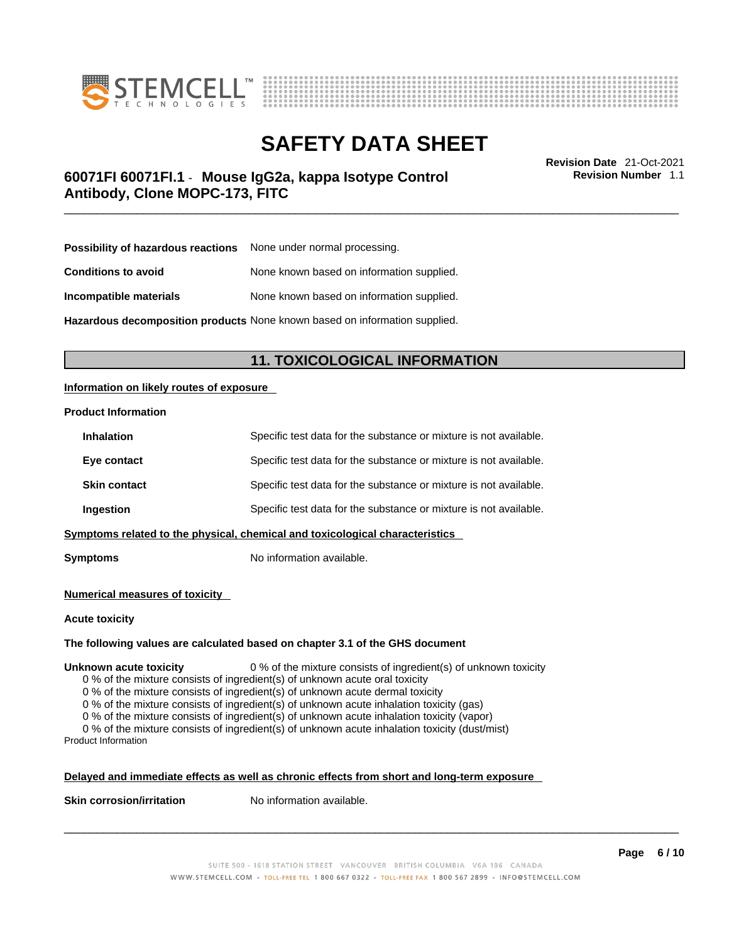



\_\_\_\_\_\_\_\_\_\_\_\_\_\_\_\_\_\_\_\_\_\_\_\_\_\_\_\_\_\_\_\_\_\_\_\_\_\_\_\_\_\_\_\_\_\_\_\_\_\_\_\_\_\_\_\_\_\_\_\_\_\_\_\_\_\_\_\_\_\_\_\_\_\_\_\_\_\_\_\_\_\_\_\_\_\_\_\_\_\_\_\_\_ **Revision Date** 21-Oct-2021 **60071FI 60071FI.1** - **Mouse IgG2a, kappa Isotype Control Antibody, Clone MOPC-173, FITC** 

**Revision Number** 1.1

| <b>Possibility of hazardous reactions</b> None under normal processing. |                                           |
|-------------------------------------------------------------------------|-------------------------------------------|
| <b>Conditions to avoid</b>                                              | None known based on information supplied. |
| Incompatible materials                                                  | None known based on information supplied. |

**Hazardous decomposition products** None known based on information supplied.

### **11. TOXICOLOGICAL INFORMATION**

#### **Information on likely routes of exposure**

#### **Product Information**

| <b>Inhalation</b>                                                            | Specific test data for the substance or mixture is not available. |  |
|------------------------------------------------------------------------------|-------------------------------------------------------------------|--|
| Eye contact                                                                  | Specific test data for the substance or mixture is not available. |  |
| <b>Skin contact</b>                                                          | Specific test data for the substance or mixture is not available. |  |
| Ingestion                                                                    | Specific test data for the substance or mixture is not available. |  |
| Symptoms related to the physical, chemical and toxicological characteristics |                                                                   |  |

**Symptoms** No information available.

#### **Numerical measures of toxicity**

#### **Acute toxicity**

#### **The following values are calculated based on chapter 3.1 of the GHS document**

**Unknown acute toxicity** 0 % of the mixture consists of ingredient(s) of unknown toxicity

0 % of the mixture consists of ingredient(s) of unknown acute oral toxicity

0 % of the mixture consists of ingredient(s) of unknown acute dermal toxicity

0 % of the mixture consists of ingredient(s) of unknown acute inhalation toxicity (gas)

0 % of the mixture consists of ingredient(s) of unknown acute inhalation toxicity (vapor)

0 % of the mixture consists of ingredient(s) of unknown acute inhalation toxicity (dust/mist)

Product Information

#### **Delayed and immediate effects as well as chronic effects from short and long-term exposure**

**Skin corrosion/irritation** No information available.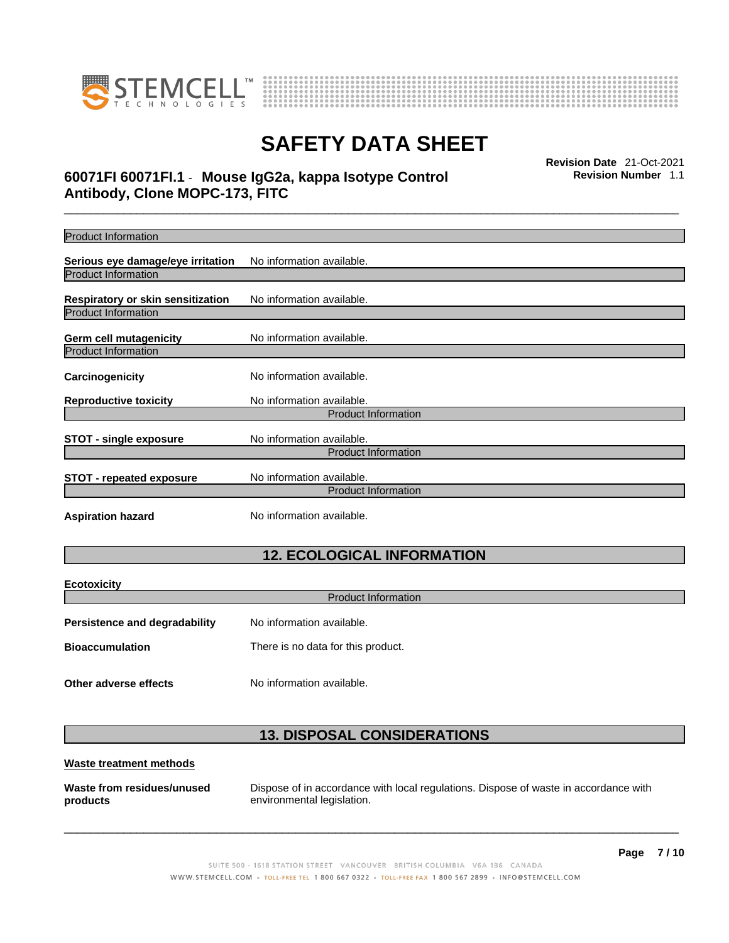



# \_\_\_\_\_\_\_\_\_\_\_\_\_\_\_\_\_\_\_\_\_\_\_\_\_\_\_\_\_\_\_\_\_\_\_\_\_\_\_\_\_\_\_\_\_\_\_\_\_\_\_\_\_\_\_\_\_\_\_\_\_\_\_\_\_\_\_\_\_\_\_\_\_\_\_\_\_\_\_\_\_\_\_\_\_\_\_\_\_\_\_\_\_ **Revision Date** 21-Oct-2021 **60071FI 60071FI.1** - **Mouse IgG2a, kappa Isotype Control Antibody, Clone MOPC-173, FITC**

**Revision Number** 1.1

| <b>Product Information</b>           |                            |  |
|--------------------------------------|----------------------------|--|
| Serious eye damage/eye irritation    | No information available.  |  |
| <b>Product Information</b>           |                            |  |
| Respiratory or skin sensitization    | No information available.  |  |
| <b>Product Information</b>           |                            |  |
| <b>Germ cell mutagenicity</b>        | No information available.  |  |
| <b>Product Information</b>           |                            |  |
| Carcinogenicity                      | No information available.  |  |
| <b>Reproductive toxicity</b>         | No information available.  |  |
|                                      | <b>Product Information</b> |  |
| <b>STOT - single exposure</b>        | No information available.  |  |
|                                      | <b>Product Information</b> |  |
| <b>STOT - repeated exposure</b>      | No information available.  |  |
|                                      | <b>Product Information</b> |  |
| <b>Aspiration hazard</b>             | No information available.  |  |
| <b>12. ECOLOGICAL INFORMATION</b>    |                            |  |
| <b>Ecotoxicity</b>                   |                            |  |
|                                      | <b>Product Information</b> |  |
| <b>Persistence and degradability</b> | No information available.  |  |

| <b>Bioaccumulation</b> | There is no data for this product. |
|------------------------|------------------------------------|
|                        |                                    |

**Other adverse effects** No information available.

## **13. DISPOSAL CONSIDERATIONS**

#### **Waste treatment methods**

**Waste from residues/unused products** 

Dispose of in accordance with local regulations. Dispose of waste in accordance with environmental legislation.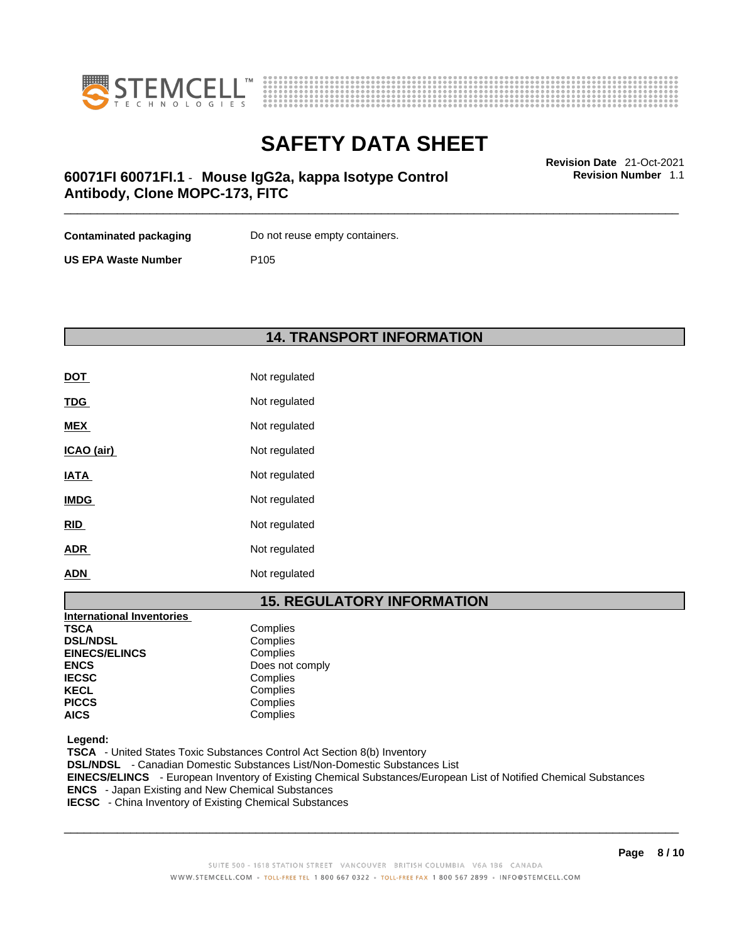



**Revision Number** 1.1

# \_\_\_\_\_\_\_\_\_\_\_\_\_\_\_\_\_\_\_\_\_\_\_\_\_\_\_\_\_\_\_\_\_\_\_\_\_\_\_\_\_\_\_\_\_\_\_\_\_\_\_\_\_\_\_\_\_\_\_\_\_\_\_\_\_\_\_\_\_\_\_\_\_\_\_\_\_\_\_\_\_\_\_\_\_\_\_\_\_\_\_\_\_ **Revision Date** 21-Oct-2021 **60071FI 60071FI.1** - **Mouse IgG2a, kappa Isotype Control Antibody, Clone MOPC-173, FITC**

**Contaminated packaging Do not reuse empty containers.** 

**US EPA Waste Number** P105

## **14. TRANSPORT INFORMATION**

| <b>DOT</b>  | Not regulated |
|-------------|---------------|
| <b>TDG</b>  | Not regulated |
| <b>MEX</b>  | Not regulated |
| ICAO (air)  | Not regulated |
| <b>IATA</b> | Not regulated |
| <b>IMDG</b> | Not regulated |
| <b>RID</b>  | Not regulated |
| <b>ADR</b>  | Not regulated |
| <b>ADN</b>  | Not regulated |

### **15. REGULATORY INFORMATION**

| <b>International Inventories</b> |                 |  |
|----------------------------------|-----------------|--|
| <b>TSCA</b>                      | Complies        |  |
| <b>DSL/NDSL</b>                  | Complies        |  |
| <b>EINECS/ELINCS</b>             | Complies        |  |
| <b>ENCS</b>                      | Does not comply |  |
| <b>IECSC</b>                     | Complies        |  |
| <b>KECL</b>                      | Complies        |  |
| <b>PICCS</b>                     | Complies        |  |
| <b>AICS</b>                      | Complies        |  |

 **Legend:** 

 **TSCA** - United States Toxic Substances Control Act Section 8(b) Inventory  **DSL/NDSL** - Canadian Domestic Substances List/Non-Domestic Substances List  **EINECS/ELINCS** - European Inventory of Existing Chemical Substances/European List of Notified Chemical Substances  **ENCS** - Japan Existing and New Chemical Substances  **IECSC** - China Inventory of Existing Chemical Substances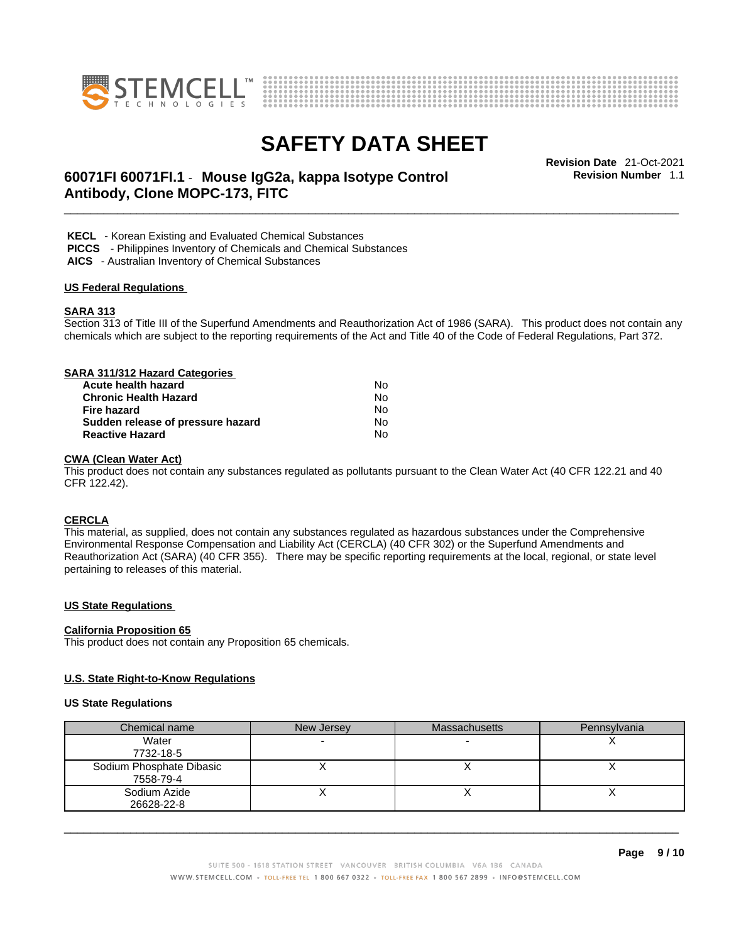



# \_\_\_\_\_\_\_\_\_\_\_\_\_\_\_\_\_\_\_\_\_\_\_\_\_\_\_\_\_\_\_\_\_\_\_\_\_\_\_\_\_\_\_\_\_\_\_\_\_\_\_\_\_\_\_\_\_\_\_\_\_\_\_\_\_\_\_\_\_\_\_\_\_\_\_\_\_\_\_\_\_\_\_\_\_\_\_\_\_\_\_\_\_ **Revision Date** 21-Oct-2021 **60071FI 60071FI.1** - **Mouse IgG2a, kappa Isotype Control Antibody, Clone MOPC-173, FITC**

**Revision Number** 1.1

 **KECL** - Korean Existing and Evaluated Chemical Substances

 **PICCS** - Philippines Inventory of Chemicals and Chemical Substances

 **AICS** - Australian Inventory of Chemical Substances

#### **US Federal Regulations**

#### **SARA 313**

Section 313 of Title III of the Superfund Amendments and Reauthorization Act of 1986 (SARA). This product does not contain any chemicals which are subject to the reporting requirements of the Act and Title 40 of the Code of Federal Regulations, Part 372.

## **SARA 311/312 Hazard Categories**

| Acute health hazard               | Nο  |  |
|-----------------------------------|-----|--|
| Chronic Health Hazard             | N٥  |  |
| Fire hazard                       | No. |  |
| Sudden release of pressure hazard | No. |  |
| <b>Reactive Hazard</b>            | N٥  |  |

#### **CWA** (Clean Water Act)

This product does not contain any substances regulated as pollutants pursuant to the Clean Water Act (40 CFR 122.21 and 40 CFR 122.42).

#### **CERCLA**

This material, as supplied, does not contain any substances regulated as hazardous substances under the Comprehensive Environmental Response Compensation and Liability Act (CERCLA) (40 CFR 302) or the Superfund Amendments and Reauthorization Act (SARA) (40 CFR 355). There may be specific reporting requirements at the local, regional, or state level pertaining to releases of this material.

#### **US State Regulations**

#### **California Proposition 65**

This product does not contain any Proposition 65 chemicals.

#### **U.S. State Right-to-Know Regulations**

#### **US State Regulations**

| Chemical name                         | New Jersey | <b>Massachusetts</b> | Pennsylvania |
|---------------------------------------|------------|----------------------|--------------|
| Water                                 |            |                      |              |
| 7732-18-5                             |            |                      |              |
| Sodium Phosphate Dibasic<br>7558-79-4 |            |                      |              |
| Sodium Azide<br>26628-22-8            |            |                      |              |